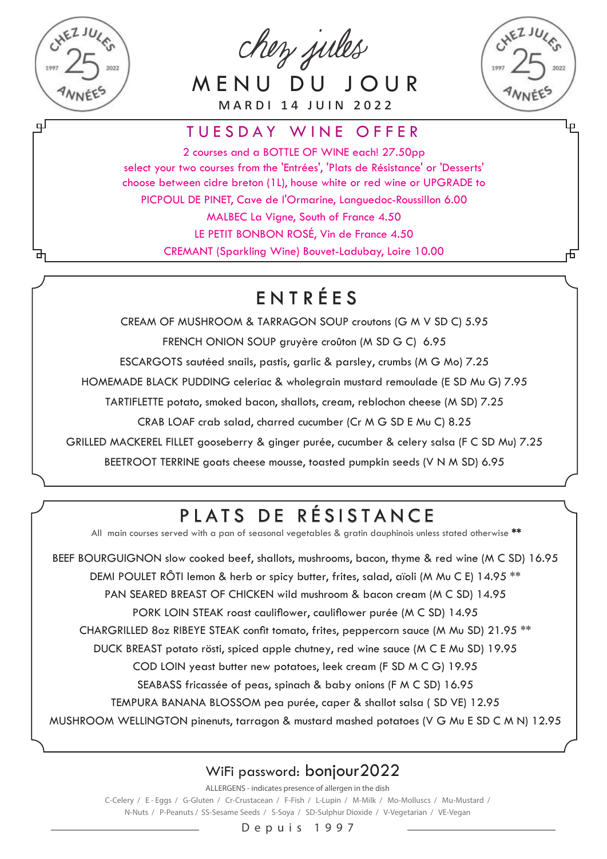

ᇚ

chez jules

MENU DU JOUR M A R D I 14 J U I N 2 0 2 2



Ļρ

#### TUESDAY WINE OFFER

2 courses and a BOTTLE OF WINE each! 27,50pp select your two courses from the 'Entrées', 'Plats de Résistance' or 'Desserts' choose between cidre breton (1L), house white or red wine or UPGRADE to PICPOUL DE PINET, Cave de l'Ormarine, Languedoc-Roussillon 6.00 MALBEC La Vigne, South of France 4.50

LE PETIT BONBON ROSÉ, Vin de France 4.50 CREMANT (Sparkling Wine) Bouvet-Ladubay, Loire 10.00

## ENTRÉES

CREAM OF MUSHROOM & TARRAGON SOUP croutons (G M V SD C) 5.95 FRENCH ONION SOUP gruyère croûton (M SD G C) 6.95 ESCARGOTS sautéed snails, pastis, garlic & parsley, crumbs (M G Mo) 7.25 HOMEMADE BLACK PUDDING celeriac & wholegrain mustard remoulade (E SD Mu G) 7.95 TARTIFLETTE potato, smoked bacon, shallots, cream, reblochon cheese (M SD) 7.25 CRAB LOAF crab salad, charred cucumber (Cr M G SD E Mu C) 8.25

GRILLED MACKEREL FILLET gooseberry & ginger purée, cucumber & celery salsa (F C SD Mu) 7.25

BEETROOT TERRINE goats cheese mousse, toasted pumpkin seeds (V N M SD) 6.95

# PLATS DE RÉSISTANCE

All main courses served with a pan of seasonal vegetables & gratin dauphinois unless stated otherwise \*\*

BEEF BOURGUIGNON slow cooked beef, shallots, mushrooms, bacon, thyme & red wine (M C SD) 16.95 DEMI POULET RÔTI lemon & herb or spicy butter, frites, salad, aïoli (M Mu C E) 14.95 \*\* PAN SEARED BREAST OF CHICKEN wild mushroom & bacon cream (M C SD) 14.95 PORK LOIN STEAK roast cauliflower, cauliflower purée (M C SD) 14.95 CHARGRILLED 8oz RIBEYE STEAK confit tomato, frites, peppercorn sauce (M Mu SD) 21.95 \*\* DUCK BREAST potato rösti, spiced apple chutney, red wine sauce (M C E Mu SD) 19.95 COD LOIN yeast butter new potatoes, leek cream (F SD M C G) 19.95 SEABASS fricassée of peas, spinach & baby onions (F M C SD) 16.95 TEMPURA BANANA BLOSSOM pea purée, caper & shallot salsa ( SD VE) 12.95 MUSHROOM WELLINGTON pinenuts, tarragon & mustard mashed potatoes (V G Mu E SD C M N) 12.95

#### WiFi password: bonjour2022

ALLERGENS - indicates presence of allergen in the dish C-Celery / E - Eggs / G-Gluten / Cr-Crustacean / F-Fish / L-Lupin / M-Milk / Mo-Molluscs / Mu-Mustard / N-Nuts / P-Peanuts / SS-Sesame Seeds / S-Soya / SD-Sulphur Dioxide / V-Vegetarian / VE-Vegan